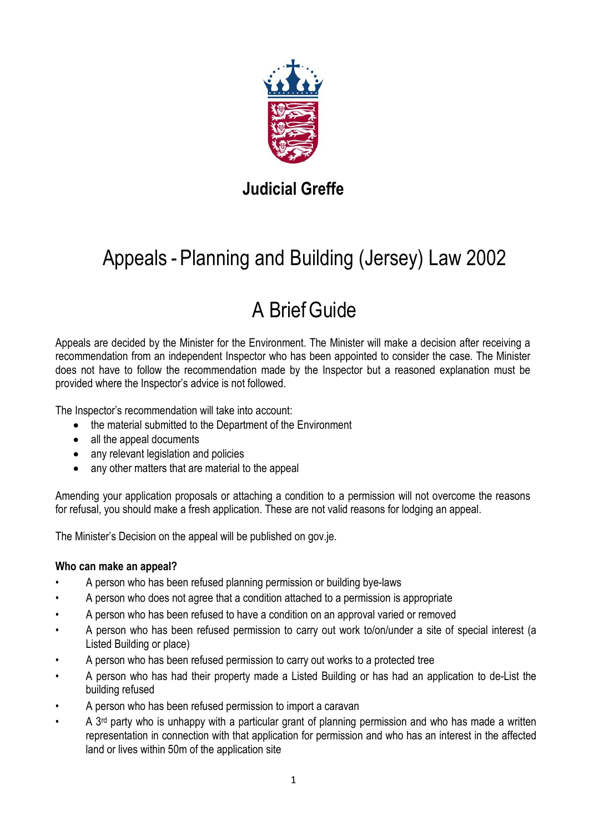

# **Judicial Greffe**

# Appeals - Planning and Building (Jersey) Law 2002

# A BriefGuide

Appeals are decided by the Minister for the Environment. The Minister will make a decision after receiving a recommendation from an independent Inspector who has been appointed to consider the case. The Minister does not have to follow the recommendation made by the Inspector but a reasoned explanation must be provided where the Inspector's advice is not followed.

The Inspector's recommendation will take into account:

- the material submitted to the Department of the Environment
- all the appeal documents
- any relevant legislation and policies
- any other matters that are material to the appeal

Amending your application proposals or attaching a condition to a permission will not overcome the reasons for refusal, you should make a fresh application. These are not valid reasons for lodging an appeal.

The Minister's Decision on the appeal will be published on gov.je.

### **Who can make an appeal?**

- A person who has been refused planning permission or building bye-laws
- A person who does not agree that a condition attached to a permission is appropriate
- A person who has been refused to have a condition on an approval varied or removed
- A person who has been refused permission to carry out work to/on/under a site of special interest (a Listed Building or place)
- A person who has been refused permission to carry out works to a protected tree
- A person who has had their property made a Listed Building or has had an application to de-List the building refused
- A person who has been refused permission to import a caravan
- A  $3<sup>rd</sup>$  party who is unhappy with a particular grant of planning permission and who has made a written representation in connection with that application for permission and who has an interest in the affected land or lives within 50m of the application site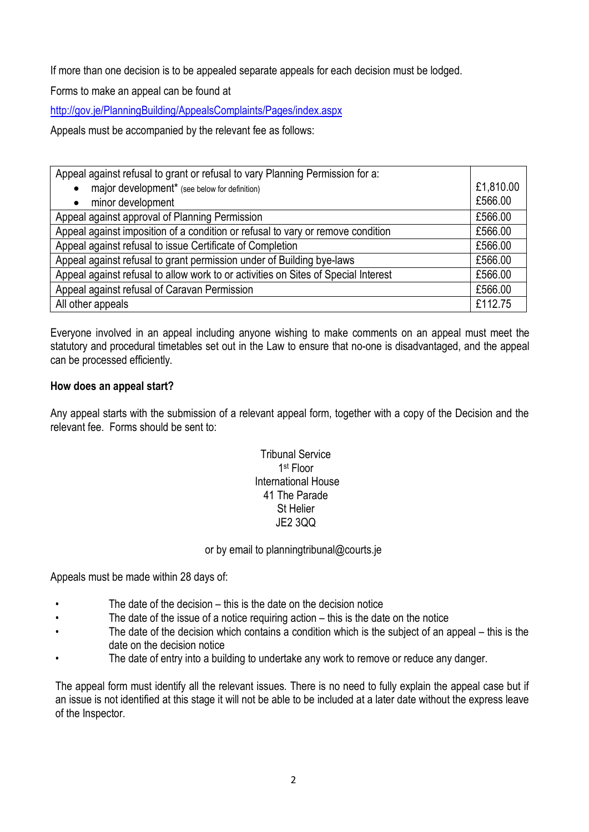If more than one decision is to be appealed separate appeals for each decision must be lodged.

Forms to make an appeal can be found at

<http://gov.je/PlanningBuilding/AppealsComplaints/Pages/index.aspx>

Appeals must be accompanied by the relevant fee as follows:

| Appeal against refusal to grant or refusal to vary Planning Permission for a:      |           |
|------------------------------------------------------------------------------------|-----------|
| major development <sup>*</sup> (see below for definition)                          | £1,810.00 |
| minor development                                                                  | £566.00   |
| Appeal against approval of Planning Permission                                     | £566.00   |
| Appeal against imposition of a condition or refusal to vary or remove condition    | £566.00   |
| Appeal against refusal to issue Certificate of Completion                          | £566.00   |
| Appeal against refusal to grant permission under of Building bye-laws              | £566.00   |
| Appeal against refusal to allow work to or activities on Sites of Special Interest | £566.00   |
| Appeal against refusal of Caravan Permission                                       | £566.00   |
| All other appeals                                                                  | £112.75   |

Everyone involved in an appeal including anyone wishing to make comments on an appeal must meet the statutory and procedural timetables set out in the Law to ensure that no-one is disadvantaged, and the appeal can be processed efficiently.

#### **How does an appeal start?**

Any appeal starts with the submission of a relevant appeal form, together with a copy of the Decision and the relevant fee. Forms should be sent to:

## Tribunal Service 1st Floor International House 41 The Parade St Helier JE2 3QQ

or by email to planningtribunal@courts.je

Appeals must be made within 28 days of:

- The date of the decision this is the date on the decision notice
- The date of the issue of a notice requiring action this is the date on the notice
- The date of the decision which contains a condition which is the subject of an appeal this is the date on the decision notice
- The date of entry into a building to undertake any work to remove or reduce any danger.

The appeal form must identify all the relevant issues. There is no need to fully explain the appeal case but if an issue is not identified at this stage it will not be able to be included at a later date without the express leave of the Inspector.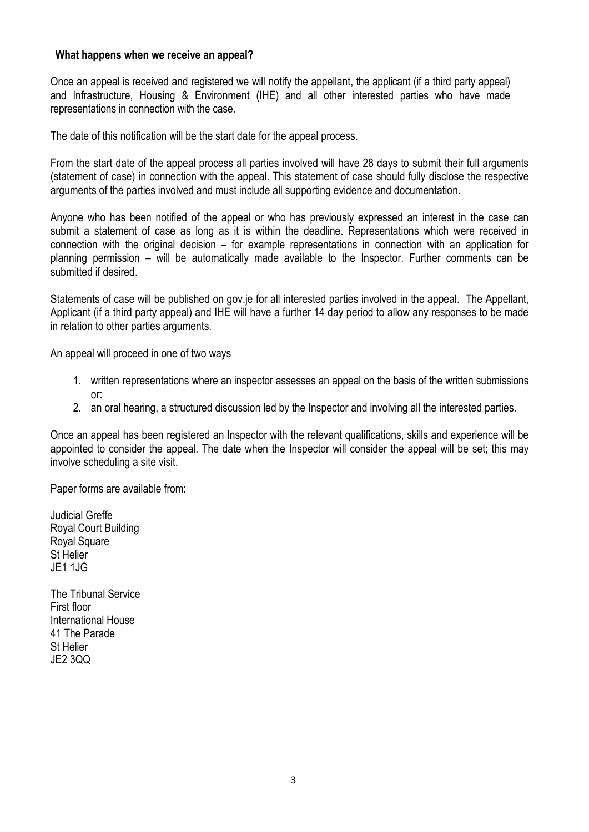#### **What happens when we receive an appeal?**

Once an appeal is received and registered we will notify the appellant, the applicant (if a third party appeal) and Infrastructure, Housing & Environment (IHE) and all other interested parties who have made representations in connection with the case.

The date of this notification will be the start date for the appeal process.

From the start date of the appeal process all parties involved will have 28 days to submit their full arguments (statement of case) in connection with the appeal. This statement of case should fully disclose the respective arguments of the parties involved and must include all supporting evidence and documentation.

Anyone who has been notified of the appeal or who has previously expressed an interest in the case can submit a statement of case as long as it is within the deadline. Representations which were received in connection with the original decision – for example representations in connection with an application for planning permission – will be automatically made available to the Inspector. Further comments can be submitted if desired.

Statements of case will be published on gov.je for all interested parties involved in the appeal. The Appellant, Applicant (if a third party appeal) and IHE will have a further 14 day period to allow any responses to be made in relation to other parties arguments.

An appeal will proceed in one of two ways

- 1. written representations where an inspector assesses an appeal on the basis of the written submissions or:
- 2. an oral hearing, a structured discussion led by the Inspector and involving all the interested parties.

Once an appeal has been registered an Inspector with the relevant qualifications, skills and experience will be appointed to consider the appeal. The date when the Inspector will consider the appeal will be set; this may involve scheduling a site visit.

Paper forms are available from:

Judicial Greffe Royal Court Building Royal Square St Helier JE1 1JG

The Tribunal Service First floor International House 41 The Parade St Helier JE2 3QQ